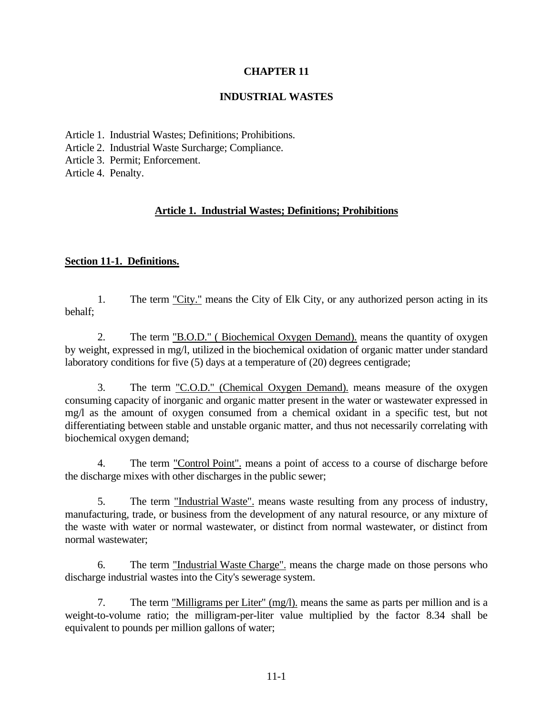# **CHAPTER 11**

## **INDUSTRIAL WASTES**

- Article 1. Industrial Wastes; Definitions; Prohibitions.
- Article 2. Industrial Waste Surcharge; Compliance.
- Article 3. Permit; Enforcement.

Article 4. Penalty.

# **Article 1. Industrial Wastes; Definitions; Prohibitions**

## **Section 11-1. Definitions.**

1. The term "City." means the City of Elk City, or any authorized person acting in its behalf;

2. The term "B.O.D." ( Biochemical Oxygen Demand). means the quantity of oxygen by weight, expressed in mg/l, utilized in the biochemical oxidation of organic matter under standard laboratory conditions for five (5) days at a temperature of (20) degrees centigrade;

3. The term "C.O.D." (Chemical Oxygen Demand). means measure of the oxygen consuming capacity of inorganic and organic matter present in the water or wastewater expressed in mg/l as the amount of oxygen consumed from a chemical oxidant in a specific test, but not differentiating between stable and unstable organic matter, and thus not necessarily correlating with biochemical oxygen demand;

4. The term "Control Point". means a point of access to a course of discharge before the discharge mixes with other discharges in the public sewer;

5. The term "Industrial Waste". means waste resulting from any process of industry, manufacturing, trade, or business from the development of any natural resource, or any mixture of the waste with water or normal wastewater, or distinct from normal wastewater, or distinct from normal wastewater;

6. The term "Industrial Waste Charge". means the charge made on those persons who discharge industrial wastes into the City's sewerage system.

7. The term "Milligrams per Liter" (mg/l). means the same as parts per million and is a weight-to-volume ratio; the milligram-per-liter value multiplied by the factor 8.34 shall be equivalent to pounds per million gallons of water;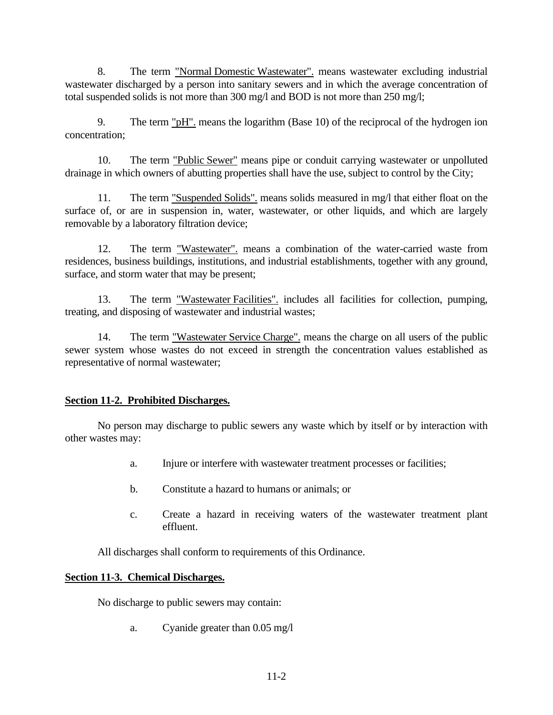8. The term "Normal Domestic Wastewater". means wastewater excluding industrial wastewater discharged by a person into sanitary sewers and in which the average concentration of total suspended solids is not more than 300 mg/l and BOD is not more than 250 mg/l;

9. The term " $pH$ " means the logarithm (Base 10) of the reciprocal of the hydrogen ion concentration;

10. The term "Public Sewer" means pipe or conduit carrying wastewater or unpolluted drainage in which owners of abutting properties shall have the use, subject to control by the City;

11. The term "Suspended Solids". means solids measured in mg/l that either float on the surface of, or are in suspension in, water, wastewater, or other liquids, and which are largely removable by a laboratory filtration device;

12. The term "Wastewater". means a combination of the water-carried waste from residences, business buildings, institutions, and industrial establishments, together with any ground, surface, and storm water that may be present;

13. The term "Wastewater Facilities". includes all facilities for collection, pumping, treating, and disposing of wastewater and industrial wastes;

14. The term "Wastewater Service Charge". means the charge on all users of the public sewer system whose wastes do not exceed in strength the concentration values established as representative of normal wastewater;

# **Section 11-2. Prohibited Discharges.**

No person may discharge to public sewers any waste which by itself or by interaction with other wastes may:

- a. Injure or interfere with wastewater treatment processes or facilities;
- b. Constitute a hazard to humans or animals; or
- c. Create a hazard in receiving waters of the wastewater treatment plant effluent.

All discharges shall conform to requirements of this Ordinance.

# **Section 11-3. Chemical Discharges.**

No discharge to public sewers may contain:

a. Cyanide greater than 0.05 mg/l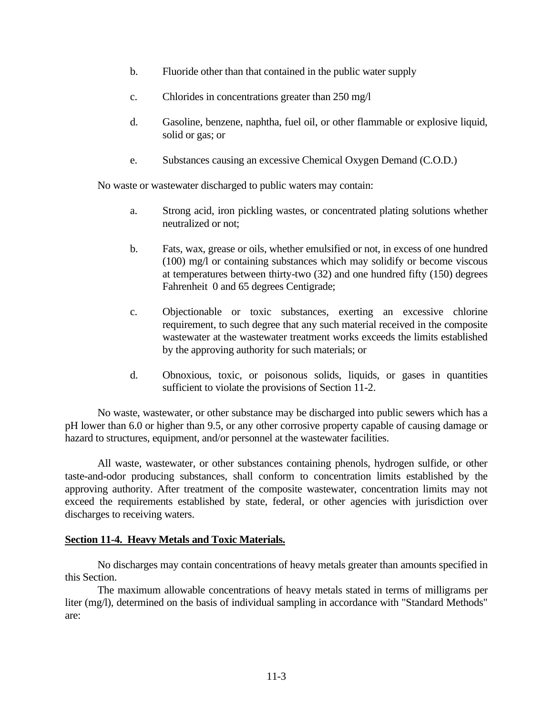- b. Fluoride other than that contained in the public water supply
- c. Chlorides in concentrations greater than 250 mg/l
- d. Gasoline, benzene, naphtha, fuel oil, or other flammable or explosive liquid, solid or gas; or
- e. Substances causing an excessive Chemical Oxygen Demand (C.O.D.)

No waste or wastewater discharged to public waters may contain:

- a. Strong acid, iron pickling wastes, or concentrated plating solutions whether neutralized or not;
- b. Fats, wax, grease or oils, whether emulsified or not, in excess of one hundred (100) mg/l or containing substances which may solidify or become viscous at temperatures between thirty-two (32) and one hundred fifty (150) degrees Fahrenheit 0 and 65 degrees Centigrade;
- c. Objectionable or toxic substances, exerting an excessive chlorine requirement, to such degree that any such material received in the composite wastewater at the wastewater treatment works exceeds the limits established by the approving authority for such materials; or
- d. Obnoxious, toxic, or poisonous solids, liquids, or gases in quantities sufficient to violate the provisions of Section 11-2.

No waste, wastewater, or other substance may be discharged into public sewers which has a pH lower than 6.0 or higher than 9.5, or any other corrosive property capable of causing damage or hazard to structures, equipment, and/or personnel at the wastewater facilities.

All waste, wastewater, or other substances containing phenols, hydrogen sulfide, or other taste-and-odor producing substances, shall conform to concentration limits established by the approving authority. After treatment of the composite wastewater, concentration limits may not exceed the requirements established by state, federal, or other agencies with jurisdiction over discharges to receiving waters.

## **Section 11-4. Heavy Metals and Toxic Materials.**

No discharges may contain concentrations of heavy metals greater than amounts specified in this Section.

The maximum allowable concentrations of heavy metals stated in terms of milligrams per liter (mg/l), determined on the basis of individual sampling in accordance with "Standard Methods" are: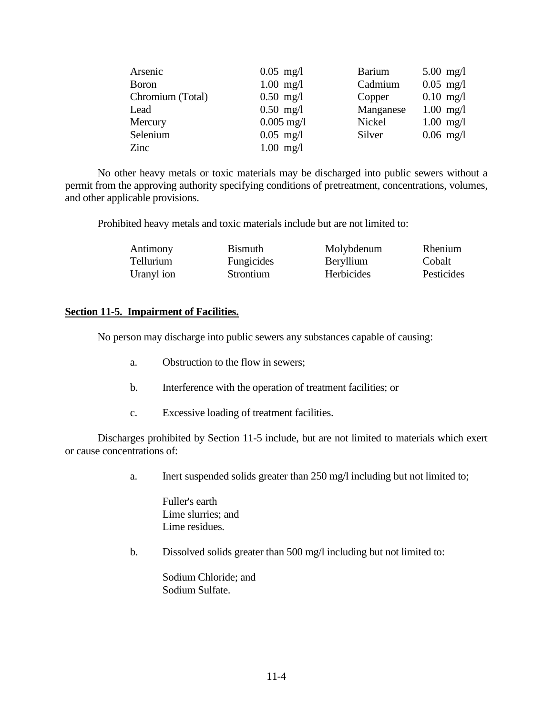| Arsenic          | $0.05$ mg/l          | <b>Barium</b> | $5.00 \text{ mg}/1$ |
|------------------|----------------------|---------------|---------------------|
| <b>Boron</b>     | $1.00$ mg/l          | Cadmium       | $0.05$ mg/l         |
| Chromium (Total) | $0.50$ mg/l          | Copper        | $0.10$ mg/l         |
| Lead             | $0.50$ mg/l          | Manganese     | $1.00$ mg/l         |
| Mercury          | $0.005 \text{ mg}/1$ | Nickel        | $1.00$ mg/l         |
| Selenium         | $0.05$ mg/l          | Silver        | $0.06$ mg/l         |
| Zinc             | $1.00$ mg/l          |               |                     |

No other heavy metals or toxic materials may be discharged into public sewers without a permit from the approving authority specifying conditions of pretreatment, concentrations, volumes, and other applicable provisions.

Prohibited heavy metals and toxic materials include but are not limited to:

| Antimony   | <b>Bismuth</b> | Molybdenum | <b>Rhenium</b> |
|------------|----------------|------------|----------------|
| Tellurium  | Fungicides     | Beryllium  | Cobalt         |
| Uranyl ion | Strontium      | Herbicides | Pesticides     |

### **Section 11-5. Impairment of Facilities.**

No person may discharge into public sewers any substances capable of causing:

- a. Obstruction to the flow in sewers;
- b. Interference with the operation of treatment facilities; or
- c. Excessive loading of treatment facilities.

Discharges prohibited by Section 11-5 include, but are not limited to materials which exert or cause concentrations of:

a. Inert suspended solids greater than 250 mg/l including but not limited to;

Fuller's earth Lime slurries; and Lime residues.

b. Dissolved solids greater than 500 mg/l including but not limited to:

Sodium Chloride; and Sodium Sulfate.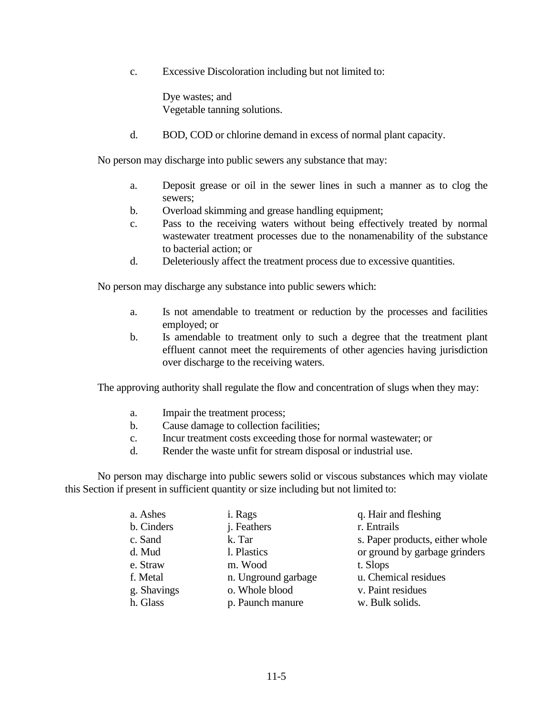c. Excessive Discoloration including but not limited to:

Dye wastes; and Vegetable tanning solutions.

d. BOD, COD or chlorine demand in excess of normal plant capacity.

No person may discharge into public sewers any substance that may:

- a. Deposit grease or oil in the sewer lines in such a manner as to clog the sewers;
- b. Overload skimming and grease handling equipment;
- c. Pass to the receiving waters without being effectively treated by normal wastewater treatment processes due to the nonamenability of the substance to bacterial action; or
- d. Deleteriously affect the treatment process due to excessive quantities.

No person may discharge any substance into public sewers which:

- a. Is not amendable to treatment or reduction by the processes and facilities employed; or
- b. Is amendable to treatment only to such a degree that the treatment plant effluent cannot meet the requirements of other agencies having jurisdiction over discharge to the receiving waters.

The approving authority shall regulate the flow and concentration of slugs when they may:

- a. Impair the treatment process;
- b. Cause damage to collection facilities;
- c. Incur treatment costs exceeding those for normal wastewater; or
- d. Render the waste unfit for stream disposal or industrial use.

No person may discharge into public sewers solid or viscous substances which may violate this Section if present in sufficient quantity or size including but not limited to:

| a. Ashes    | i. Rags             | q. Hair and fleshing            |
|-------------|---------------------|---------------------------------|
| b. Cinders  | <i>i</i> . Feathers | r. Entrails                     |
| c. Sand     | k. Tar              | s. Paper products, either whole |
| d. Mud      | 1. Plastics         | or ground by garbage grinders   |
| e. Straw    | m. Wood             | t. Slops                        |
| f. Metal    | n. Unground garbage | u. Chemical residues            |
| g. Shavings | o. Whole blood      | v. Paint residues               |
| h. Glass    | p. Paunch manure    | w. Bulk solids.                 |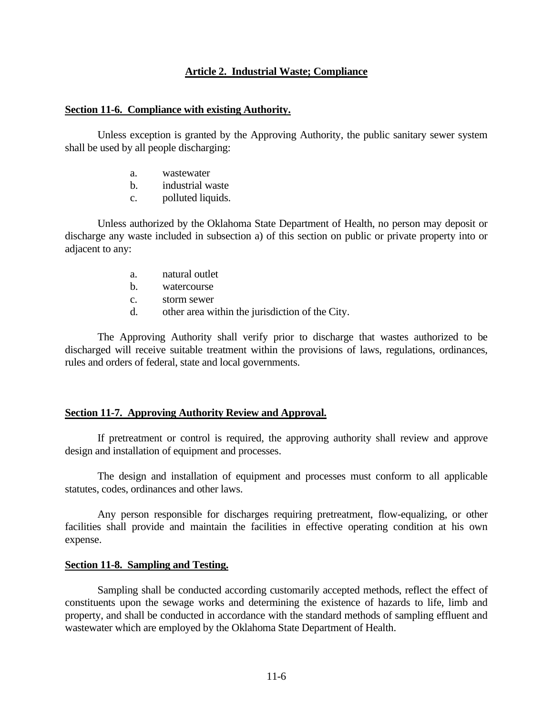### **Article 2. Industrial Waste; Compliance**

#### **Section 11-6. Compliance with existing Authority.**

Unless exception is granted by the Approving Authority, the public sanitary sewer system shall be used by all people discharging:

- a. wastewater
- b. industrial waste
- c. polluted liquids.

Unless authorized by the Oklahoma State Department of Health, no person may deposit or discharge any waste included in subsection a) of this section on public or private property into or adjacent to any:

- a. natural outlet
- b. watercourse
- c. storm sewer
- d. other area within the jurisdiction of the City.

The Approving Authority shall verify prior to discharge that wastes authorized to be discharged will receive suitable treatment within the provisions of laws, regulations, ordinances, rules and orders of federal, state and local governments.

#### **Section 11-7. Approving Authority Review and Approval.**

If pretreatment or control is required, the approving authority shall review and approve design and installation of equipment and processes.

The design and installation of equipment and processes must conform to all applicable statutes, codes, ordinances and other laws.

Any person responsible for discharges requiring pretreatment, flow-equalizing, or other facilities shall provide and maintain the facilities in effective operating condition at his own expense.

#### **Section 11-8. Sampling and Testing.**

Sampling shall be conducted according customarily accepted methods, reflect the effect of constituents upon the sewage works and determining the existence of hazards to life, limb and property, and shall be conducted in accordance with the standard methods of sampling effluent and wastewater which are employed by the Oklahoma State Department of Health.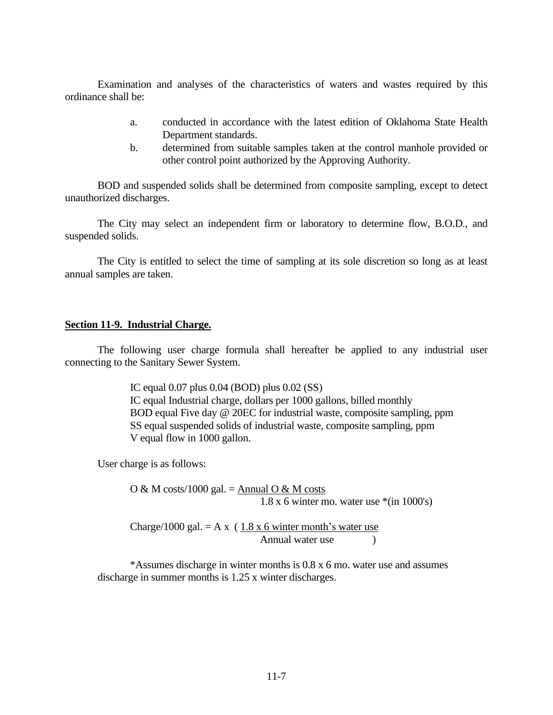Examination and analyses of the characteristics of waters and wastes required by this ordinance shall be:

- a. conducted in accordance with the latest edition of Oklahoma State Health Department standards.
- b. determined from suitable samples taken at the control manhole provided or other control point authorized by the Approving Authority.

BOD and suspended solids shall be determined from composite sampling, except to detect unauthorized discharges.

The City may select an independent firm or laboratory to determine flow, B.O.D., and suspended solids.

The City is entitled to select the time of sampling at its sole discretion so long as at least annual samples are taken.

## **Section 11-9. Industrial Charge.**

The following user charge formula shall hereafter be applied to any industrial user connecting to the Sanitary Sewer System.

> IC equal 0.07 plus 0.04 (BOD) plus 0.02 (SS) IC equal Industrial charge, dollars per 1000 gallons, billed monthly BOD equal Five day @ 20EC for industrial waste, composite sampling, ppm SS equal suspended solids of industrial waste, composite sampling, ppm V equal flow in 1000 gallon.

User charge is as follows:

O & M costs/1000 gal. =  ${\underline{\mathrm{Annual}}\; \Omega \& \mathrm{M} \; \mathrm{costs}}$ 1.8 x 6 winter mo. water use \*(in 1000's)

Charge/1000 gal.  $= A x (1.8 x 6$  winter month's water use Annual water use (b)

\*Assumes discharge in winter months is 0.8 x 6 mo. water use and assumes discharge in summer months is 1.25 x winter discharges.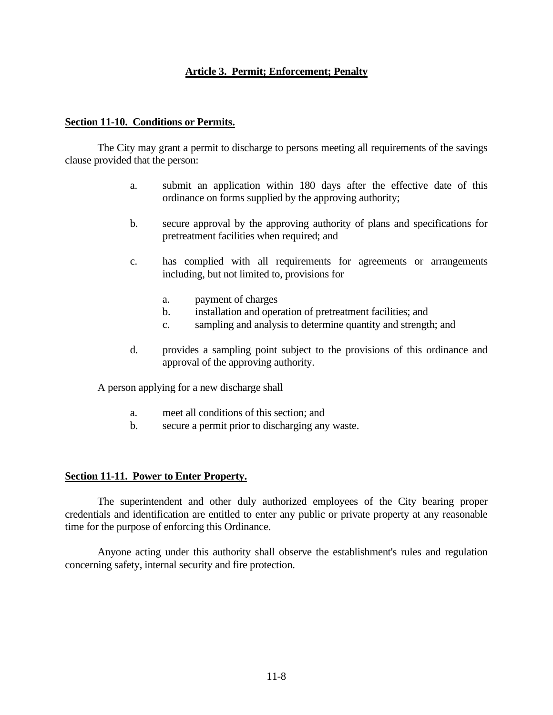# **Article 3. Permit; Enforcement; Penalty**

## **Section 11-10. Conditions or Permits.**

The City may grant a permit to discharge to persons meeting all requirements of the savings clause provided that the person:

- a. submit an application within 180 days after the effective date of this ordinance on forms supplied by the approving authority;
- b. secure approval by the approving authority of plans and specifications for pretreatment facilities when required; and
- c. has complied with all requirements for agreements or arrangements including, but not limited to, provisions for
	- a. payment of charges
	- b. installation and operation of pretreatment facilities; and
	- c. sampling and analysis to determine quantity and strength; and
- d. provides a sampling point subject to the provisions of this ordinance and approval of the approving authority.

A person applying for a new discharge shall

- a. meet all conditions of this section; and
- b. secure a permit prior to discharging any waste.

## **Section 11-11. Power to Enter Property.**

The superintendent and other duly authorized employees of the City bearing proper credentials and identification are entitled to enter any public or private property at any reasonable time for the purpose of enforcing this Ordinance.

Anyone acting under this authority shall observe the establishment's rules and regulation concerning safety, internal security and fire protection.